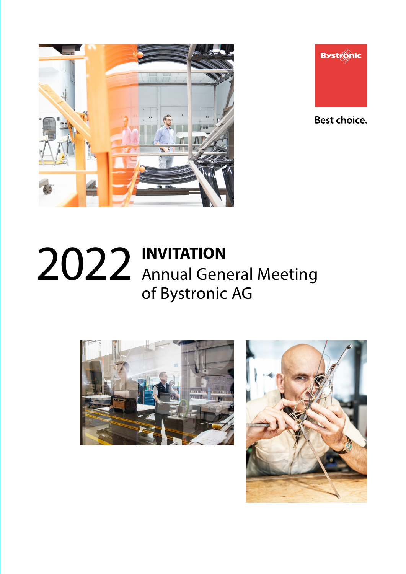



**Best choice.** 

# **INVITATION** Annual General Meeting of Bystronic AG 2022



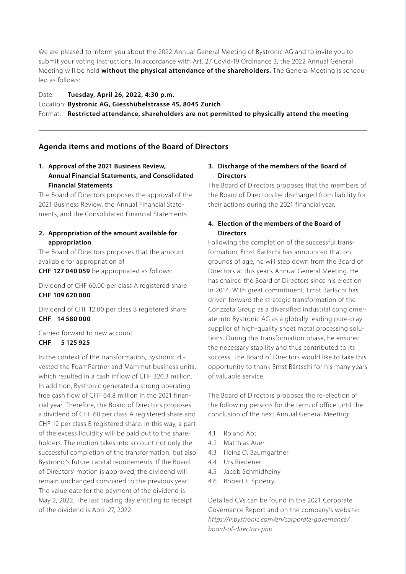We are pleased to inform you about the 2022 Annual General Meeting of Bystronic AG and to invite you to submit your voting instructions. In accordance with Art. 27 Covid-19 Ordinance 3, the 2022 Annual General Meeting will be held **without the physical attendance of the shareholders.** The General Meeting is scheduled as follows:

Date: **Tuesday, April 26, 2022, 4:30 p.m.** Location: **Bystronic AG, Giesshübelstrasse 45, 8045 Zurich** Format: **Restricted attendance, shareholders are not permitted to physically attend the meeting**

# **Agenda items and motions of the Board of Directors**

# **1. Approval of the 2021 Business Review, Annual Financial Statements, and Consolidated Financial Statements**

The Board of Directors proposes the approval of the 2021 Business Review, the Annual Financial Statements, and the Consolidated Financial Statements.

## **2. Appropriation of the amount available for appropriation**

The Board of Directors proposes that the amount available for appropriation of

**CHF 127 040 059** be appropriated as follows:

Dividend of CHF 60.00 per class A registered share **CHF 109 620 000**

Dividend of CHF 12.00 per class B registered share **CHF 14 580 000**

Carried forward to new account **CHF 5 125 925**

In the context of the transformation, Bystronic divested the FoamPartner and Mammut business units, which resulted in a cash inflow of CHF 320.3 million. In addition, Bystronic generated a strong operating free cash flow of CHF 64.8 million in the 2021 financial year. Therefore, the Board of Directors proposes a dividend of CHF 60 per class A registered share and CHF 12 per class B registered share. In this way, a part of the excess liquidity will be paid out to the shareholders. The motion takes into account not only the successful completion of the transformation, but also Bystronic's future capital requirements. If the Board of Directors' motion is approved, the dividend will remain unchanged compared to the previous year. The value date for the payment of the dividend is May 2, 2022. The last trading day entitling to receipt of the dividend is April 27, 2022.

## **3. Discharge of the members of the Board of Directors**

The Board of Directors proposes that the members of the Board of Directors be discharged from liability for their actions during the 2021 financial year.

# **4. Election of the members of the Board of Directors**

Following the completion of the successful transformation, Ernst Bärtschi has announced that on grounds of age, he will step down from the Board of Directors at this year's Annual General Meeting. He has chaired the Board of Directors since his election in 2014. With great commitment, Ernst Bärtschi has driven forward the strategic transformation of the Conzzeta Group as a diversified industrial conglomerate into Bystronic AG as a globally leading pure-play supplier of high-quality sheet metal processing solutions. During this transformation phase, he ensured the necessary stability and thus contributed to its success. The Board of Directors would like to take this opportunity to thank Ernst Bärtschi for his many years of valuable service.

The Board of Directors proposes the re-election of the following persons for the term of office until the conclusion of the next Annual General Meeting:

- 4.1 Roland Abt
- 4.2 Matthias Auer
- 4.3 Heinz O. Baumgartner
- 4.4 Urs Riedener
- 4.5 Jacob Schmidheiny
- 4.6 Robert F. Spoerry

Detailed CVs can be found in the 2021 Corporate Governance Report and on the company's website: *https://ir.bystronic.com/en/corporate-governance/ board-of-directors.php*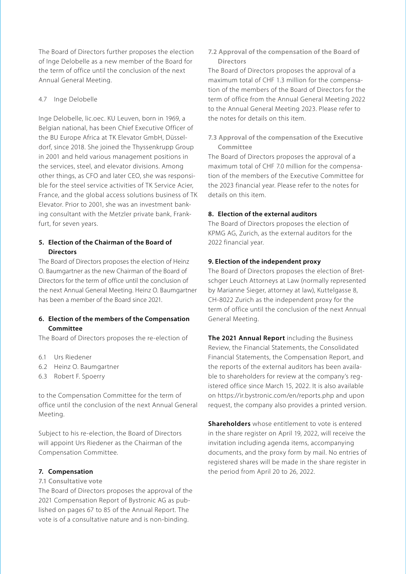The Board of Directors further proposes the election of Inge Delobelle as a new member of the Board for the term of office until the conclusion of the next Annual General Meeting.

## 4.7 Inge Delobelle

Inge Delobelle, lic.oec. KU Leuven, born in 1969, a Belgian national, has been Chief Executive Officer of the BU Europe Africa at TK Elevator GmbH, Düsseldorf, since 2018. She joined the Thyssenkrupp Group in 2001 and held various management positions in the services, steel, and elevator divisions. Among other things, as CFO and later CEO, she was responsible for the steel service activities of TK Service Acier, France, and the global access solutions business of TK Elevator. Prior to 2001, she was an investment banking consultant with the Metzler private bank, Frankfurt, for seven years.

# **5. Election of the Chairman of the Board of Directors**

The Board of Directors proposes the election of Heinz O. Baumgartner as the new Chairman of the Board of Directors for the term of office until the conclusion of the next Annual General Meeting. Heinz O. Baumgartner has been a member of the Board since 2021.

## **6. Election of the members of the Compensation Committee**

The Board of Directors proposes the re-election of

- 6.1 Urs Riedener
- 6.2 Heinz O. Baumgartner
- 6.3 Robert F. Spoerry

to the Compensation Committee for the term of office until the conclusion of the next Annual General Meeting.

Subject to his re-election, the Board of Directors will appoint Urs Riedener as the Chairman of the Compensation Committee.

#### **7. Compensation**

## **7.1 Consultative vote**

The Board of Directors proposes the approval of the 2021 Compensation Report of Bystronic AG as published on pages 67 to 85 of the Annual Report. The vote is of a consultative nature and is non-binding.

**7.2 Approval of the compensation of the Board of Directors**

The Board of Directors proposes the approval of a maximum total of CHF 1.3 million for the compensation of the members of the Board of Directors for the term of office from the Annual General Meeting 2022 to the Annual General Meeting 2023. Please refer to the notes for details on this item.

## **7.3 Approval of the compensation of the Executive Committee**

The Board of Directors proposes the approval of a maximum total of CHF 7.0 million for the compensation of the members of the Executive Committee for the 2023 financial year. Please refer to the notes for details on this item.

#### **8. Election of the external auditors**

The Board of Directors proposes the election of KPMG AG, Zurich, as the external auditors for the 2022 financial year.

#### **9. Election of the independent proxy**

The Board of Directors proposes the election of Bretschger Leuch Attorneys at Law (normally represented by Marianne Sieger, attorney at law), Kuttelgasse 8, CH-8022 Zurich as the independent proxy for the term of office until the conclusion of the next Annual General Meeting.

**The 2021 Annual Report** including the Business Review, the Financial Statements, the Consolidated Financial Statements, the Compensation Report, and the reports of the external auditors has been available to shareholders for review at the company's registered office since March 15, 2022. It is also available on https://ir.bystronic.com/en/reports.php and upon request, the company also provides a printed version.

**Shareholders** whose entitlement to vote is entered in the share register on April 19, 2022, will receive the invitation including agenda items, accompanying documents, and the proxy form by mail. No entries of registered shares will be made in the share register in the period from April 20 to 26, 2022.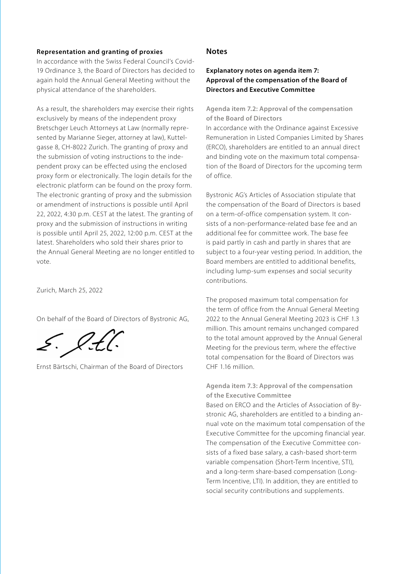## **Representation and granting of proxies**

In accordance with the Swiss Federal Council's Covid-19 Ordinance 3, the Board of Directors has decided to again hold the Annual General Meeting without the physical attendance of the shareholders.

As a result, the shareholders may exercise their rights exclusively by means of the independent proxy Bretschger Leuch Attorneys at Law (normally represented by Marianne Sieger, attorney at law), Kuttelgasse 8, CH-8022 Zurich. The granting of proxy and the submission of voting instructions to the independent proxy can be effected using the enclosed proxy form or electronically. The login details for the electronic platform can be found on the proxy form. The electronic granting of proxy and the submission or amendment of instructions is possible until April 22, 2022, 4:30 p.m. CEST at the latest. The granting of proxy and the submission of instructions in writing is possible until April 25, 2022, 12:00 p.m. CEST at the latest. Shareholders who sold their shares prior to the Annual General Meeting are no longer entitled to vote.

Zurich, March 25, 2022

On behalf of the Board of Directors of Bystronic AG,

E. l.t.l

Ernst Bärtschi, Chairman of the Board of Directors

## **Notes**

# **Explanatory notes on agenda item 7: Approval of the compensation of the Board of Directors and Executive Committee**

**Agenda item 7.2: Approval of the compensation of the Board of Directors**

In accordance with the Ordinance against Excessive Remuneration in Listed Companies Limited by Shares (ERCO), shareholders are entitled to an annual direct and binding vote on the maximum total compensation of the Board of Directors for the upcoming term of office.

Bystronic AG's Articles of Association stipulate that the compensation of the Board of Directors is based on a term-of-office compensation system. It consists of a non-performance-related base fee and an additional fee for committee work. The base fee is paid partly in cash and partly in shares that are subject to a four-year vesting period. In addition, the Board members are entitled to additional benefits, including lump-sum expenses and social security contributions.

The proposed maximum total compensation for the term of office from the Annual General Meeting 2022 to the Annual General Meeting 2023 is CHF 1.3 million. This amount remains unchanged compared to the total amount approved by the Annual General Meeting for the previous term, where the effective total compensation for the Board of Directors was CHF 1.16 million.

**Agenda item 7.3: Approval of the compensation of the Executive Committee**

Based on ERCO and the Articles of Association of Bystronic AG, shareholders are entitled to a binding annual vote on the maximum total compensation of the Executive Committee for the upcoming financial year. The compensation of the Executive Committee consists of a fixed base salary, a cash-based short-term variable compensation (Short-Term Incentive, STI), and a long-term share-based compensation (Long-Term Incentive, LTI). In addition, they are entitled to social security contributions and supplements.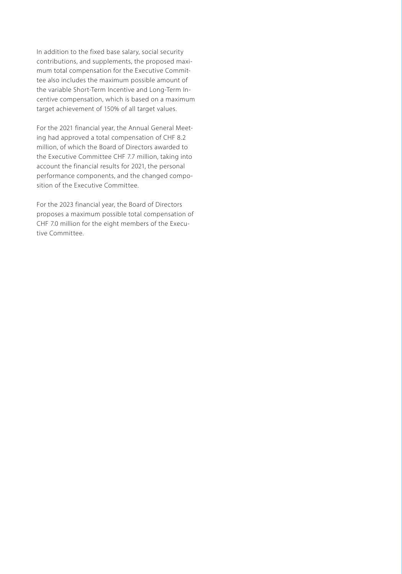In addition to the fixed base salary, social security contributions, and supplements, the proposed maximum total compensation for the Executive Committee also includes the maximum possible amount of the variable Short-Term Incentive and Long-Term Incentive compensation, which is based on a maximum target achievement of 150% of all target values.

For the 2021 financial year, the Annual General Meeting had approved a total compensation of CHF 8.2 million, of which the Board of Directors awarded to the Executive Committee CHF 7.7 million, taking into account the financial results for 2021, the personal performance components, and the changed composition of the Executive Committee.

For the 2023 financial year, the Board of Directors proposes a maximum possible total compensation of CHF 7.0 million for the eight members of the Executive Committee.